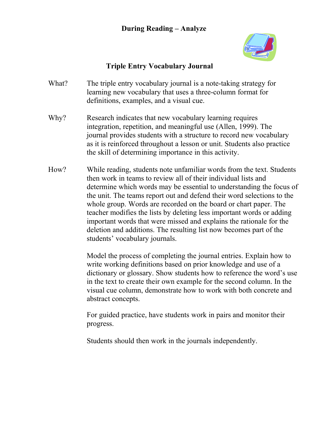## **During Reading – Analyze**



## **Triple Entry Vocabulary Journal**

- What? The triple entry vocabulary journal is a note-taking strategy for learning new vocabulary that uses a three-column format for definitions, examples, and a visual cue.
- Why? Research indicates that new vocabulary learning requires integration, repetition, and meaningful use (Allen, 1999). The journal provides students with a structure to record new vocabulary as it is reinforced throughout a lesson or unit. Students also practice the skill of determining importance in this activity.
- How? While reading, students note unfamiliar words from the text. Students then work in teams to review all of their individual lists and determine which words may be essential to understanding the focus of the unit. The teams report out and defend their word selections to the whole group. Words are recorded on the board or chart paper. The teacher modifies the lists by deleting less important words or adding important words that were missed and explains the rationale for the deletion and additions. The resulting list now becomes part of the students' vocabulary journals.

Model the process of completing the journal entries. Explain how to write working definitions based on prior knowledge and use of a dictionary or glossary. Show students how to reference the word's use in the text to create their own example for the second column. In the visual cue column, demonstrate how to work with both concrete and abstract concepts.

For guided practice, have students work in pairs and monitor their progress.

Students should then work in the journals independently.